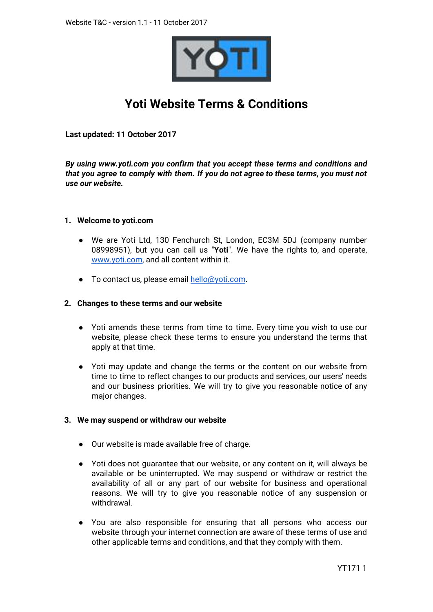

# **Yoti Website Terms & Conditions**

**Last updated: 11 October 2017**

*By using www.yoti.com you confirm that you accept these terms and conditions and that you agree to comply with them. If you do not agree to these terms, you must not use our website.*

## **1. Welcome to yoti.com**

- We are Yoti Ltd, 130 Fenchurch St, London, EC3M 5DJ (company number 08998951), but you can call us "**Yoti**". We have the rights to, and operate, [www.yoti.com](http://www.yoti.com/), and all content within it.
- To contact us, please email [hello@yoti.com](mailto:hello@yoti.com).

## **2. Changes to these terms and our website**

- Yoti amends these terms from time to time. Every time you wish to use our website, please check these terms to ensure you understand the terms that apply at that time.
- Yoti may update and change the terms or the content on our website from time to time to reflect changes to our products and services, our users' needs and our business priorities. We will try to give you reasonable notice of any major changes.

## **3. We may suspend or withdraw our website**

- Our website is made available free of charge.
- Yoti does not guarantee that our website, or any content on it, will always be available or be uninterrupted. We may suspend or withdraw or restrict the availability of all or any part of our website for business and operational reasons. We will try to give you reasonable notice of any suspension or withdrawal.
- You are also responsible for ensuring that all persons who access our website through your internet connection are aware of these terms of use and other applicable terms and conditions, and that they comply with them.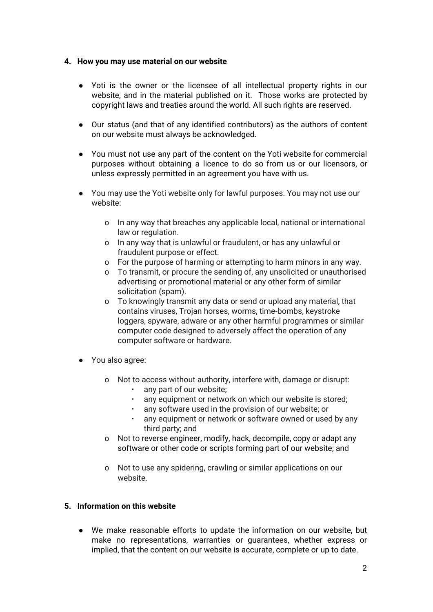## **4. How you may use material on our website**

- Yoti is the owner or the licensee of all intellectual property rights in our website, and in the material published on it. Those works are protected by copyright laws and treaties around the world. All such rights are reserved.
- Our status (and that of any identified contributors) as the authors of content on our website must always be acknowledged.
- You must not use any part of the content on the Yoti website for commercial purposes without obtaining a licence to do so from us or our licensors, or unless expressly permitted in an agreement you have with us.
- You may use the Yoti website only for lawful purposes. You may not use our website:
	- o In any way that breaches any applicable local, national or international law or regulation.
	- o In any way that is unlawful or fraudulent, or has any unlawful or fraudulent purpose or effect.
	- o For the purpose of harming or attempting to harm minors in any way.
	- o To transmit, or procure the sending of, any unsolicited or unauthorised advertising or promotional material or any other form of similar solicitation (spam).
	- o To knowingly transmit any data or send or upload any material, that contains viruses, Trojan horses, worms, time-bombs, keystroke loggers, spyware, adware or any other harmful programmes or similar computer code designed to adversely affect the operation of any computer software or hardware.
- You also agree:
	- o Not to access without authority, interfere with, damage or disrupt:
		- any part of our website;
		- any equipment or network on which our website is stored;
		- any software used in the provision of our website; or
		- any equipment or network or software owned or used by any third party; and
	- o Not to reverse engineer, modify, hack, decompile, copy or adapt any software or other code or scripts forming part of our website; and
	- o Not to use any spidering, crawling or similar applications on our website.

## **5. Information on this website**

● We make reasonable efforts to update the information on our website, but make no representations, warranties or guarantees, whether express or implied, that the content on our website is accurate, complete or up to date.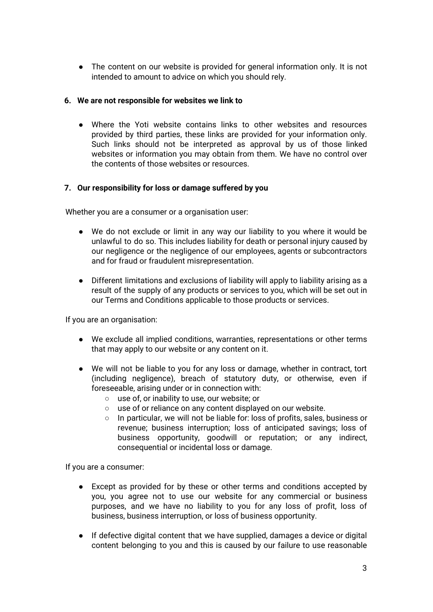● The content on our website is provided for general information only. It is not intended to amount to advice on which you should rely.

## **6. We are not responsible for websites we link to**

Where the Yoti website contains links to other websites and resources provided by third parties, these links are provided for your information only. Such links should not be interpreted as approval by us of those linked websites or information you may obtain from them. We have no control over the contents of those websites or resources.

## **7. Our responsibility for loss or damage suffered by you**

Whether you are a consumer or a organisation user:

- We do not exclude or limit in any way our liability to you where it would be unlawful to do so. This includes liability for death or personal injury caused by our negligence or the negligence of our employees, agents or subcontractors and for fraud or fraudulent misrepresentation.
- Different limitations and exclusions of liability will apply to liability arising as a result of the supply of any products or services to you, which will be set out in our Terms and Conditions applicable to those products or services.

If you are an organisation:

- We exclude all implied conditions, warranties, representations or other terms that may apply to our website or any content on it.
- We will not be liable to you for any loss or damage, whether in contract, tort (including negligence), breach of statutory duty, or otherwise, even if foreseeable, arising under or in connection with:
	- use of, or inability to use, our website; or
	- use of or reliance on any content displayed on our website.
	- In particular, we will not be liable for: loss of profits, sales, business or revenue; business interruption; loss of anticipated savings; loss of business opportunity, goodwill or reputation; or any indirect, consequential or incidental loss or damage.

If you are a consumer:

- Except as provided for by these or other terms and conditions accepted by you, you agree not to use our website for any commercial or business purposes, and we have no liability to you for any loss of profit, loss of business, business interruption, or loss of business opportunity.
- If defective digital content that we have supplied, damages a device or digital content belonging to you and this is caused by our failure to use reasonable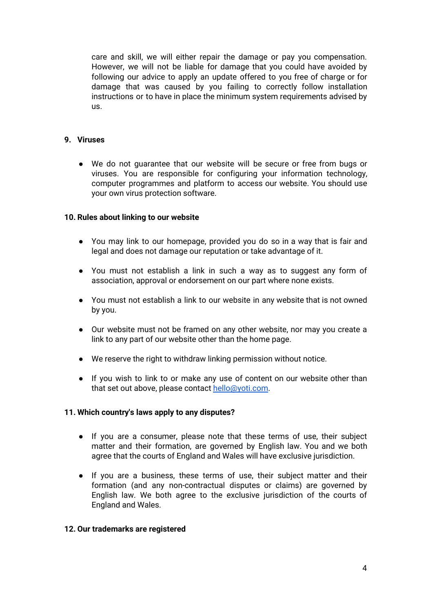care and skill, we will either repair the damage or pay you compensation. However, we will not be liable for damage that you could have avoided by following our advice to apply an update offered to you free of charge or for damage that was caused by you failing to correctly follow installation instructions or to have in place the minimum system requirements advised by us.

## **9. Viruses**

● We do not guarantee that our website will be secure or free from bugs or viruses. You are responsible for configuring your information technology, computer programmes and platform to access our website. You should use your own virus protection software.

## **10. Rules about linking to our website**

- You may link to our homepage, provided you do so in a way that is fair and legal and does not damage our reputation or take advantage of it.
- You must not establish a link in such a way as to suggest any form of association, approval or endorsement on our part where none exists.
- You must not establish a link to our website in any website that is not owned by you.
- Our website must not be framed on any other website, nor may you create a link to any part of our website other than the home page.
- We reserve the right to withdraw linking permission without notice.
- If you wish to link to or make any use of content on our website other than that set out above, please contact [hello@yoti.com](mailto:hello@yoti.com).

## **11. Which country's laws apply to any disputes?**

- If you are a consumer, please note that these terms of use, their subject matter and their formation, are governed by English law. You and we both agree that the courts of England and Wales will have exclusive jurisdiction.
- If you are a business, these terms of use, their subject matter and their formation (and any non-contractual disputes or claims) are governed by English law. We both agree to the exclusive jurisdiction of the courts of England and Wales.

#### **12. Our trademarks are registered**